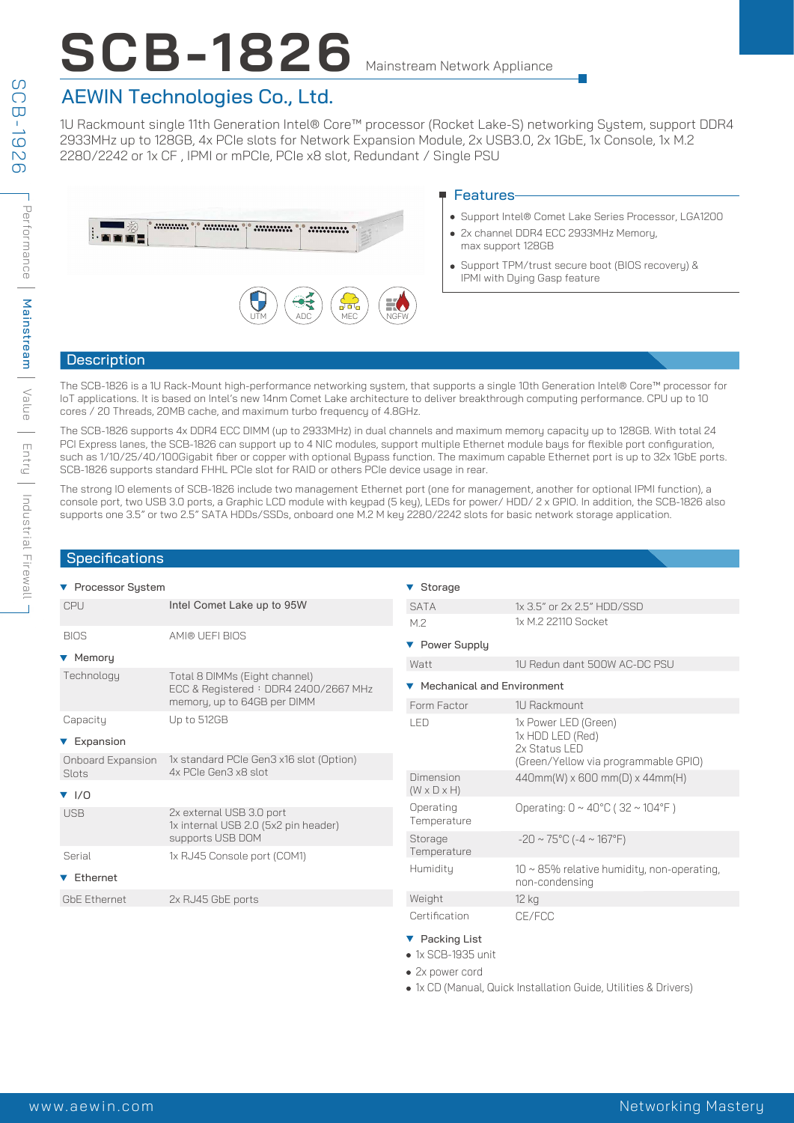# **SCB-1826** Mainstream Network Appliance

### AEWIN Technologies Co., Ltd.

1U Rackmount single 11th Generation Intel® Core™ processor (Rocket Lake-S) networking System, support DDR4 2933MHz up to 128GB, 4x PCIe slots for Network Expansion Module, 2x USB3.0, 2x 1GbE, 1x Console, 1x M.2 2280/2242 or 1x CF , IPMI or mPCIe, PCIe x8 slot, Redundant / Single PSU



#### ■ Features

- Support Intel® Comet Lake Series Processor, LGA1200
- 2x channel DDR4 ECC 2933MHz Memory, max support 128GB
- Support TPM/trust secure boot (BIOS recovery) & IPMI with Dying Gasp feature

#### **Description**

The SCB-1826 is a 1U Rack-Mount high-performance networking system, that supports a single 10th Generation Intel® Core™ processor for IoT applications. It is based on Intel's new 14nm Comet Lake architecture to deliver breakthrough computing performance. CPU up to 10 cores / 20 Threads, 20MB cache, and maximum turbo frequency of 4.8GHz.

The SCB-1826 supports 4x DDR4 ECC DIMM (up to 2933MHz) in dual channels and maximum memory capacity up to 128GB. With total 24 PCI Express lanes, the SCB-1826 can support up to 4 NIC modules, support multiple Ethernet module bays for flexible port configuration, such as 1/10/25/40/100Gigabit fiber or copper with optional Bypass function. The maximum capable Ethernet port is up to 32x 1GbE ports. SCB-1826 supports standard FHHL PCIe slot for RAID or others PCIe device usage in rear.

The strong IO elements of SCB-1826 include two management Ethernet port (one for management, another for optional IPMI function), a console port, two USB 3.0 ports, a Graphic LCD module with keypad (5 key), LEDs for power/ HDD/ 2 x GPIO. In addition, the SCB-1826 also supports one 3.5" or two 2.5" SATA HDDs/SSDs, onboard one M.2 M key 2280/2242 slots for basic network storage application.

#### **Specifications**

| ▼ Processor System       |                                                                       | ▼ Storage                    |                                                                    |  |
|--------------------------|-----------------------------------------------------------------------|------------------------------|--------------------------------------------------------------------|--|
| <b>CPU</b>               | Intel Comet Lake up to 95W                                            | <b>SATA</b>                  | 1x 3.5" or 2x 2.5" HDD/SSD                                         |  |
|                          |                                                                       | M.2                          | 1x M.2 22110 Socket                                                |  |
| <b>BIOS</b>              | AMI® UEFI BIOS                                                        | ▼ Power Supply               |                                                                    |  |
| ▼ Memory                 |                                                                       | Watt                         | 1U Redun dant 500W AC-DC PSU                                       |  |
| Technology               | Total 8 DIMMs (Eight channel)<br>ECC & Registered: DDR4 2400/2667 MHz | ▼ Mechanical and Environment |                                                                    |  |
|                          | memory, up to 64GB per DIMM                                           | Form Factor                  | 1U Rackmount                                                       |  |
| Capacity                 | Up to 512GB                                                           | LED                          | 1x Power LED (Green)                                               |  |
| ▼ Expansion              |                                                                       |                              | 1x HDD LED (Red)<br>2x Status LED                                  |  |
| Onboard Expansion        | 1x standard PCIe Gen3 x16 slot (Option)                               |                              | (Green/Yellow via programmable GPIO)                               |  |
| Slots                    | 4x PCIe Gen3 x8 slot                                                  | Dimension                    | $440mm(W) \times 600mm(D) \times 44mm(H)$                          |  |
| $\blacktriangledown$ 1/0 |                                                                       | $(W \times D \times H)$      |                                                                    |  |
| USB                      | 2x external USB 3.0 port<br>1x internal USB 2.0 (5x2 pin header)      | Operating<br>Temperature     | Operating: $0 \sim 40^{\circ}$ C (32 ~ 104°F)                      |  |
|                          | supports USB DOM                                                      | Storage                      | $-20 \sim 75^{\circ}$ C (-4 ~ 167°F)                               |  |
| Serial                   | 1x RJ45 Console port (COM1)                                           | Temperature                  |                                                                    |  |
| ▼ Ethernet               |                                                                       | Humidity                     | $10 \sim 85\%$ relative humidity, non-operating,<br>non-condensing |  |
| <b>GbE Ethernet</b>      | 2x RJ45 GbE ports                                                     | Weight                       | 12 kg                                                              |  |
|                          |                                                                       | Certification                | CE/FCC                                                             |  |
|                          |                                                                       | ▼ Packing List               |                                                                    |  |

- 1x SCB-1935 unit
- 2x power cord
- 1x CD (Manual, Quick Installation Guide, Utilities & Drivers)

S SCB-1926  $C = -1$ 9261